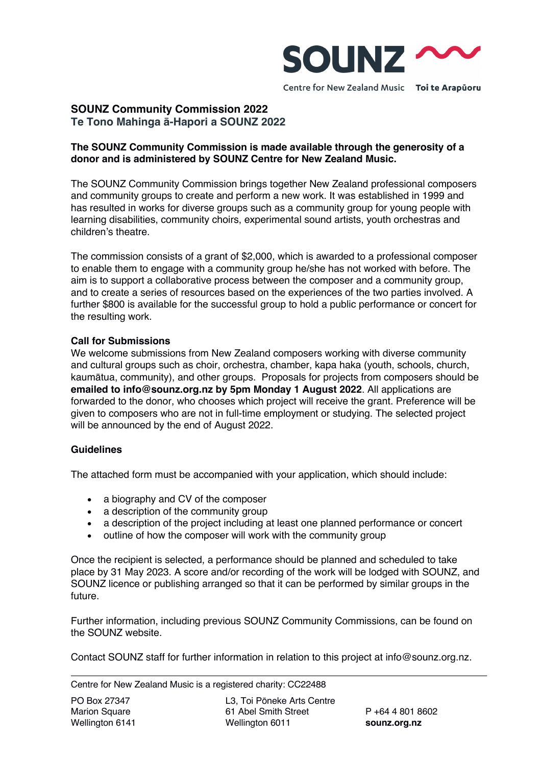

**SOUNZ Community Commission 2022 Te Tono Mahinga ā-Hapori a SOUNZ 2022**

# **The SOUNZ Community Commission is made available through the generosity of a donor and is administered by SOUNZ Centre for New Zealand Music.**

The SOUNZ Community Commission brings together New Zealand professional composers and community groups to create and perform a new work. It was established in 1999 and has resulted in works for diverse groups such as a community group for young people with learning disabilities, community choirs, experimental sound artists, youth orchestras and children's theatre.

The commission consists of a grant of \$2,000, which is awarded to a professional composer to enable them to engage with a community group he/she has not worked with before. The aim is to support a collaborative process between the composer and a community group, and to create a series of resources based on the experiences of the two parties involved. A further \$800 is available for the successful group to hold a public performance or concert for the resulting work.

#### **Call for Submissions**

We welcome submissions from New Zealand composers working with diverse community and cultural groups such as choir, orchestra, chamber, kapa haka (youth, schools, church, kaumātua, community), and other groups. Proposals for projects from composers should be **emailed to info@sounz.org.nz by 5pm Monday 1 August 2022**. All applications are forwarded to the donor, who chooses which project will receive the grant. Preference will be given to composers who are not in full-time employment or studying. The selected project will be announced by the end of August 2022.

# **Guidelines**

The attached form must be accompanied with your application, which should include:

- a biography and CV of the composer
- a description of the community group
- a description of the project including at least one planned performance or concert
- outline of how the composer will work with the community group

Once the recipient is selected, a performance should be planned and scheduled to take place by 31 May 2023. A score and/or recording of the work will be lodged with SOUNZ, and SOUNZ licence or publishing arranged so that it can be performed by similar groups in the future.

Further information, including previous SOUNZ Community Commissions, can be found on the SOUNZ website.

Contact SOUNZ staff for further information in relation to this project at info@sounz.org.nz.

Centre for New Zealand Music is a registered charity: CC22488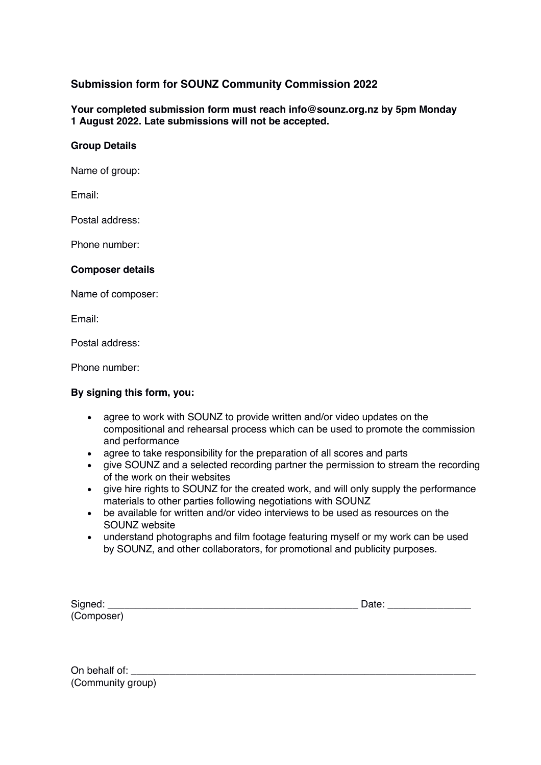# **Submission form for SOUNZ Community Commission 2022**

**Your completed submission form must reach info@sounz.org.nz by 5pm Monday 1 August 2022. Late submissions will not be accepted.**

# **Group Details**

Name of group:

Email:

Postal address:

Phone number:

#### **Composer details**

Name of composer:

Email:

Postal address:

Phone number:

#### **By signing this form, you:**

- agree to work with SOUNZ to provide written and/or video updates on the compositional and rehearsal process which can be used to promote the commission and performance
- agree to take responsibility for the preparation of all scores and parts
- give SOUNZ and a selected recording partner the permission to stream the recording of the work on their websites
- give hire rights to SOUNZ for the created work, and will only supply the performance materials to other parties following negotiations with SOUNZ
- be available for written and/or video interviews to be used as resources on the SOUNZ website
- understand photographs and film footage featuring myself or my work can be used by SOUNZ, and other collaborators, for promotional and publicity purposes.

| Signed:    | Date: |
|------------|-------|
| (Composer) |       |

On behalf of: (Community group)